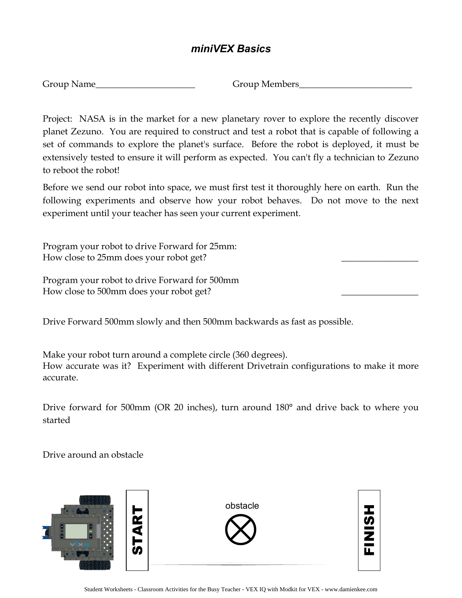#### *miniVEX Basics*

Group Members

Project: NASA is in the market for a new planetary rover to explore the recently discover planet Zezuno. You are required to construct and test a robot that is capable of following a set of commands to explore the planet's surface. Before the robot is deployed, it must be extensively tested to ensure it will perform as expected. You can't fly a technician to Zezuno to reboot the robot!

Before we send our robot into space, we must first test it thoroughly here on earth. Run the following experiments and observe how your robot behaves. Do not move to the next experiment until your teacher has seen your current experiment.

Program your robot to drive Forward for 25mm: How close to 25mm does your robot get? \_\_\_\_\_\_\_\_\_\_\_\_\_\_\_\_\_

Program your robot to drive Forward for 500mm How close to 500mm does your robot get?

Drive Forward 500mm slowly and then 500mm backwards as fast as possible.

Make your robot turn around a complete circle (360 degrees). How accurate was it? Experiment with different Drivetrain configurations to make it more accurate.

Drive forward for 500mm (OR 20 inches), turn around 180° and drive back to where you started

Drive around an obstacle



Student Worksheets - Classroom Activities for the Busy Teacher - VEX IQ with Modkit for VEX - www.damienkee.com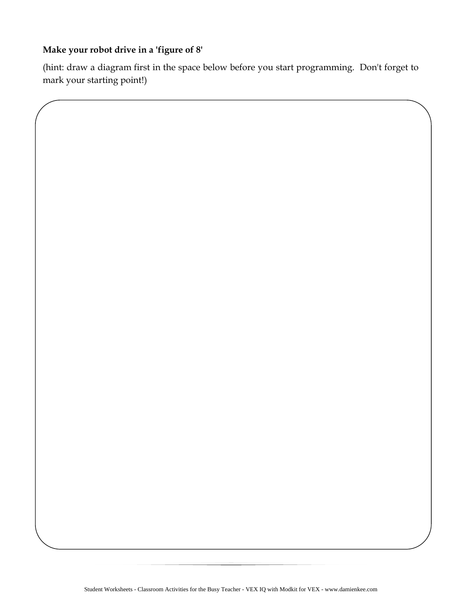#### **Make your robot drive in a 'figure of 8'**

(hint: draw a diagram first in the space below before you start programming. Don't forget to mark your starting point!)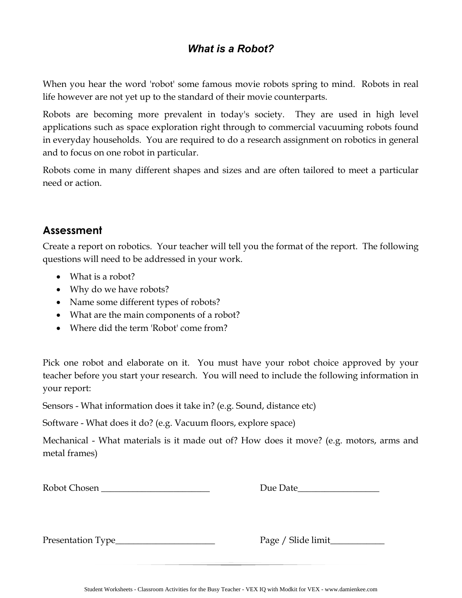## *What is a Robot?*

When you hear the word 'robot' some famous movie robots spring to mind. Robots in real life however are not yet up to the standard of their movie counterparts.

Robots are becoming more prevalent in today's society. They are used in high level applications such as space exploration right through to commercial vacuuming robots found in everyday households. You are required to do a research assignment on robotics in general and to focus on one robot in particular.

Robots come in many different shapes and sizes and are often tailored to meet a particular need or action.

#### **Assessment**

Create a report on robotics. Your teacher will tell you the format of the report. The following questions will need to be addressed in your work.

- What is a robot?
- Why do we have robots?
- Name some different types of robots?
- What are the main components of a robot?
- Where did the term 'Robot' come from?

Pick one robot and elaborate on it. You must have your robot choice approved by your teacher before you start your research. You will need to include the following information in your report:

Sensors - What information does it take in? (e.g. Sound, distance etc)

Software - What does it do? (e.g. Vacuum floors, explore space)

Mechanical - What materials is it made out of? How does it move? (e.g. motors, arms and metal frames)

| Robot Chosen |  |
|--------------|--|
|--------------|--|

Robot Chosen \_\_\_\_\_\_\_\_\_\_\_\_\_\_\_\_\_\_\_\_\_\_\_\_ Due Date\_\_\_\_\_\_\_\_\_\_\_\_\_\_\_\_\_\_

Presentation Type\_\_\_\_\_\_\_\_\_\_\_\_\_\_\_\_\_\_\_\_\_\_ Page / Slide limit\_\_\_\_\_\_\_\_\_\_\_\_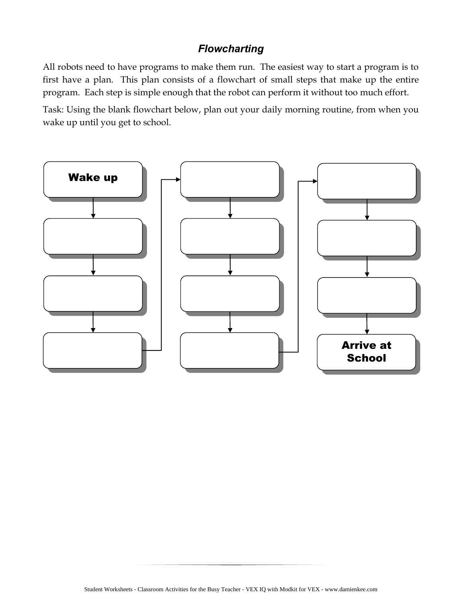#### *Flowcharting*

All robots need to have programs to make them run. The easiest way to start a program is to first have a plan. This plan consists of a flowchart of small steps that make up the entire program. Each step is simple enough that the robot can perform it without too much effort.

Task: Using the blank flowchart below, plan out your daily morning routine, from when you wake up until you get to school.

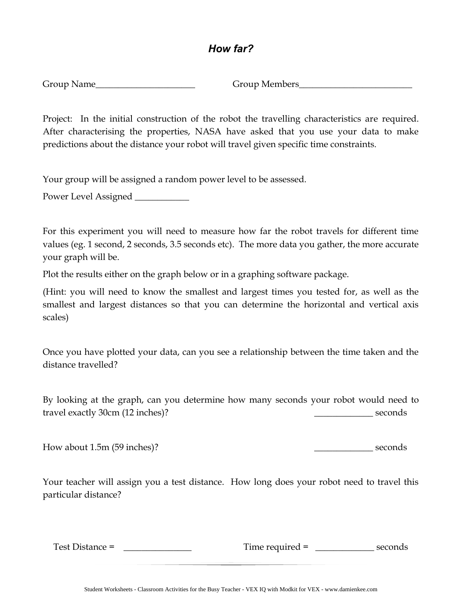#### *How far?*

Group Name\_\_\_\_\_\_\_\_\_\_\_\_\_\_\_\_\_\_\_\_\_\_ Group Members\_\_\_\_\_\_\_\_\_\_\_\_\_\_\_\_\_\_\_\_\_\_\_\_\_

Project: In the initial construction of the robot the travelling characteristics are required. After characterising the properties, NASA have asked that you use your data to make predictions about the distance your robot will travel given specific time constraints.

Your group will be assigned a random power level to be assessed.

Power Level Assigned \_\_\_\_\_\_\_\_\_\_\_\_

For this experiment you will need to measure how far the robot travels for different time values (eg. 1 second, 2 seconds, 3.5 seconds etc). The more data you gather, the more accurate your graph will be.

Plot the results either on the graph below or in a graphing software package.

(Hint: you will need to know the smallest and largest times you tested for, as well as the smallest and largest distances so that you can determine the horizontal and vertical axis scales)

Once you have plotted your data, can you see a relationship between the time taken and the distance travelled?

By looking at the graph, can you determine how many seconds your robot would need to travel exactly 30cm (12 inches)? <br> example  $\frac{1}{2}$  seconds

How about 1.5m (59 inches)? \_\_\_\_\_\_\_\_\_\_\_\_\_ seconds

Your teacher will assign you a test distance. How long does your robot need to travel this particular distance?

Test Distance = \_\_\_\_\_\_\_\_\_\_\_\_\_\_\_ Time required = \_\_\_\_\_\_\_\_\_\_\_\_\_ seconds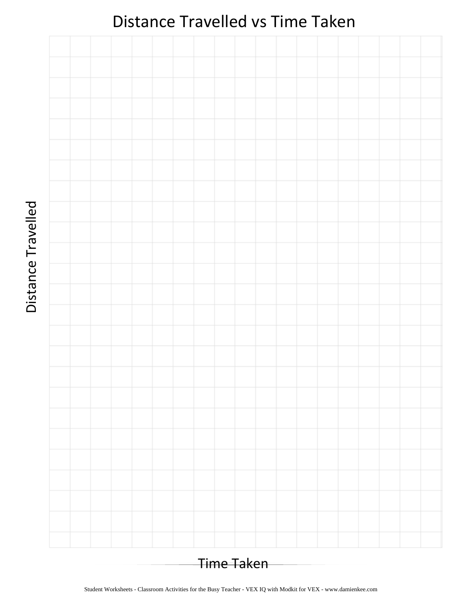# Distance Travelled vs Time Taken



Distance Travelled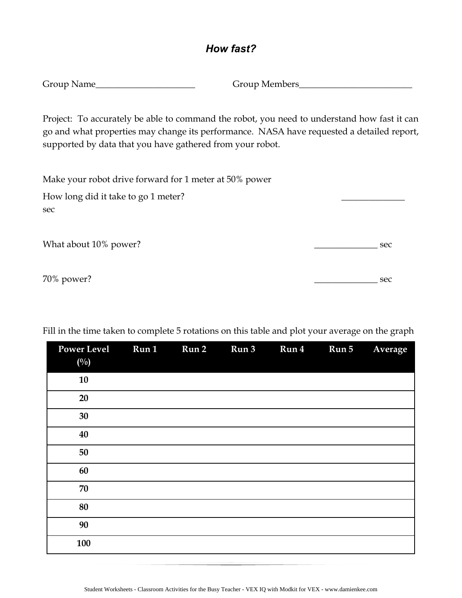#### *How fast?*

| Group Name | <b>Group Members</b> |
|------------|----------------------|
|            |                      |

Project: To accurately be able to command the robot, you need to understand how fast it can go and what properties may change its performance. NASA have requested a detailed report, supported by data that you have gathered from your robot.

Make your robot drive forward for 1 meter at 50% power

| How long did it take to go 1 meter? |     |
|-------------------------------------|-----|
| sec                                 |     |
|                                     |     |
| What about 10% power?               | sec |

70% power? sec

| <b>Power Level</b><br>$(^{0}/_{0})$ | Run 1 | Run 2 | Run 3 | Run 4 | Run 5 | Average |
|-------------------------------------|-------|-------|-------|-------|-------|---------|
| 10                                  |       |       |       |       |       |         |
| 20                                  |       |       |       |       |       |         |
| 30                                  |       |       |       |       |       |         |
| 40                                  |       |       |       |       |       |         |
| 50                                  |       |       |       |       |       |         |
| 60                                  |       |       |       |       |       |         |
| 70                                  |       |       |       |       |       |         |
| 80                                  |       |       |       |       |       |         |
| 90                                  |       |       |       |       |       |         |
| 100                                 |       |       |       |       |       |         |

Fill in the time taken to complete 5 rotations on this table and plot your average on the graph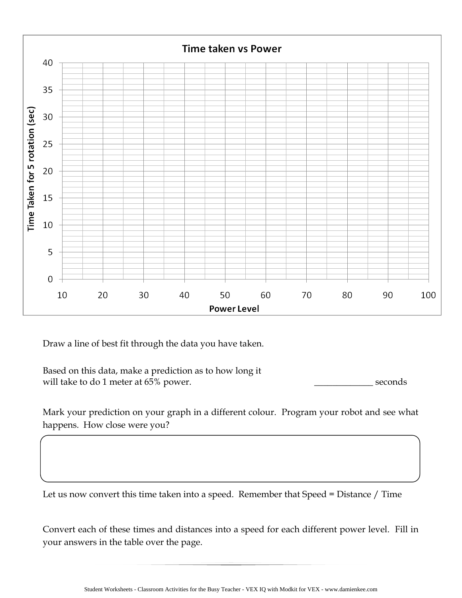

Draw a line of best fit through the data you have taken.

Based on this data, make a prediction as to how long it will take to do 1 meter at 65% power.  $\qquad \qquad \qquad$  seconds

Mark your prediction on your graph in a different colour. Program your robot and see what happens. How close were you?

Let us now convert this time taken into a speed. Remember that Speed = Distance / Time

Convert each of these times and distances into a speed for each different power level. Fill in your answers in the table over the page.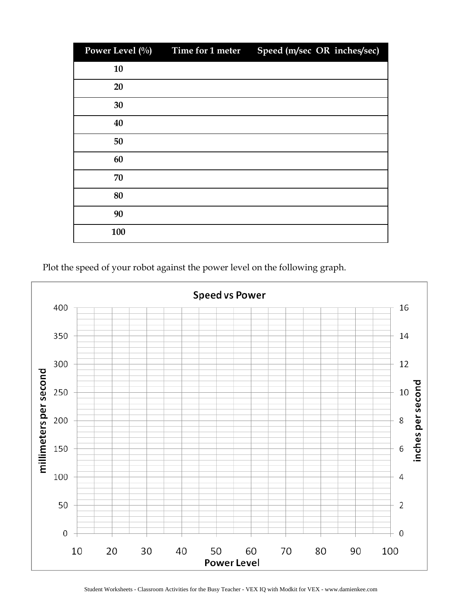| Power Level (%) | Time for 1 meter | Speed (m/sec OR inches/sec) |
|-----------------|------------------|-----------------------------|
| 10              |                  |                             |
| 20              |                  |                             |
| 30              |                  |                             |
| 40              |                  |                             |
| 50              |                  |                             |
| 60              |                  |                             |
| 70              |                  |                             |
| 80              |                  |                             |
| 90              |                  |                             |
| 100             |                  |                             |

Plot the speed of your robot against the power level on the following graph.



Student Worksheets - Classroom Activities for the Busy Teacher - VEX IQ with Modkit for VEX - www.damienkee.com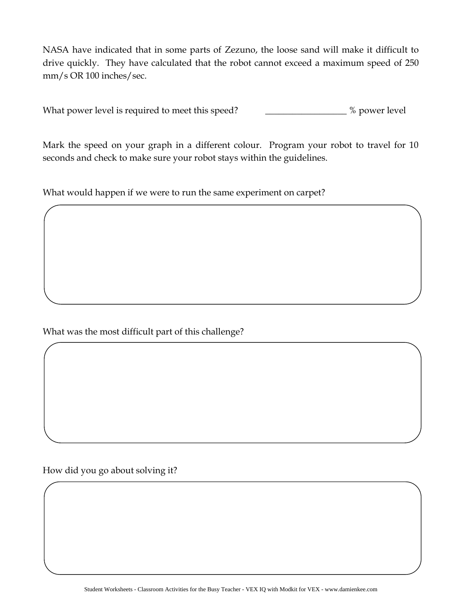NASA have indicated that in some parts of Zezuno, the loose sand will make it difficult to drive quickly. They have calculated that the robot cannot exceed a maximum speed of 250 mm/s OR 100 inches/sec.

What power level is required to meet this speed? \_\_\_\_\_\_\_\_\_\_\_\_\_\_\_\_ % power level

Mark the speed on your graph in a different colour. Program your robot to travel for 10 seconds and check to make sure your robot stays within the guidelines.

What would happen if we were to run the same experiment on carpet?

What was the most difficult part of this challenge?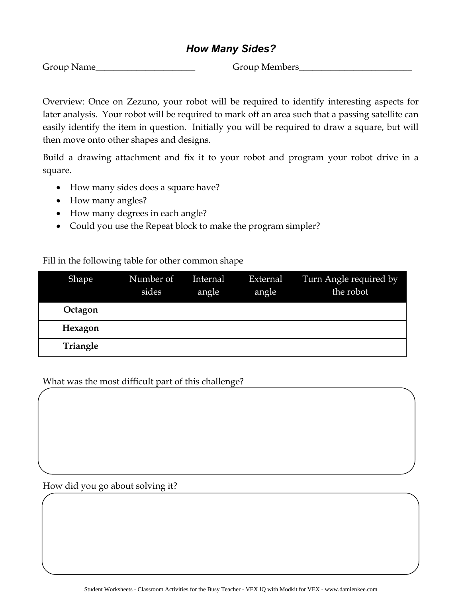#### *How Many Sides?*

Group Name **Group Members** 

Overview: Once on Zezuno, your robot will be required to identify interesting aspects for later analysis. Your robot will be required to mark off an area such that a passing satellite can easily identify the item in question. Initially you will be required to draw a square, but will then move onto other shapes and designs.

Build a drawing attachment and fix it to your robot and program your robot drive in a square.

- How many sides does a square have?
- How many angles?
- How many degrees in each angle?
- Could you use the Repeat block to make the program simpler?

#### Fill in the following table for other common shape

| Shape    | Number of<br>sides | Internal<br>angle | External<br>angle | Turn Angle required by<br>the robot |
|----------|--------------------|-------------------|-------------------|-------------------------------------|
| Octagon  |                    |                   |                   |                                     |
| Hexagon  |                    |                   |                   |                                     |
| Triangle |                    |                   |                   |                                     |

#### What was the most difficult part of this challenge?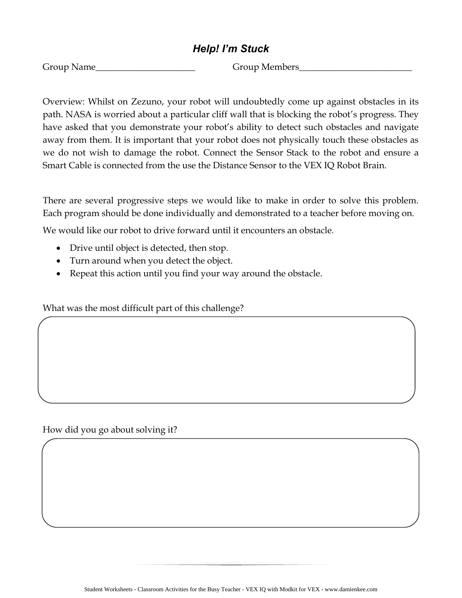#### *Help! I'm Stuck*

Group Name **Group Members** 

Overview: Whilst on Zezuno, your robot will undoubtedly come up against obstacles in its path. NASA is worried about a particular cliff wall that is blocking the robot's progress. They have asked that you demonstrate your robot's ability to detect such obstacles and navigate away from them. It is important that your robot does not physically touch these obstacles as we do not wish to damage the robot. Connect the Sensor Stack to the robot and ensure a Smart Cable is connected from the use the Distance Sensor to the VEX IQ Robot Brain.

There are several progressive steps we would like to make in order to solve this problem. Each program should be done individually and demonstrated to a teacher before moving on.

We would like our robot to drive forward until it encounters an obstacle.

- Drive until object is detected, then stop.
- Turn around when you detect the object.
- Repeat this action until you find your way around the obstacle.

What was the most difficult part of this challenge?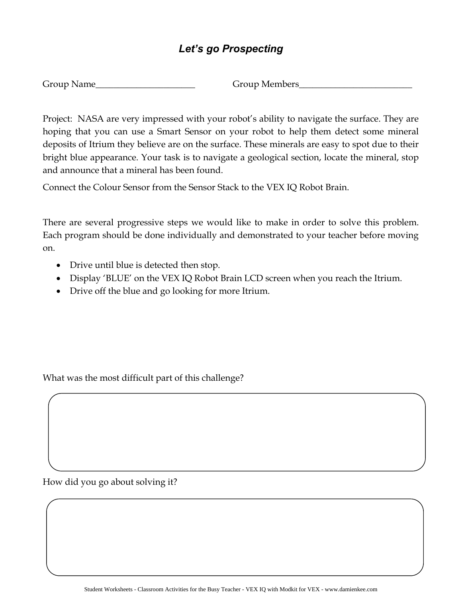# *Let's go Prospecting*

Group Members\_\_\_

Project: NASA are very impressed with your robot's ability to navigate the surface. They are hoping that you can use a Smart Sensor on your robot to help them detect some mineral deposits of Itrium they believe are on the surface. These minerals are easy to spot due to their bright blue appearance. Your task is to navigate a geological section, locate the mineral, stop and announce that a mineral has been found.

Connect the Colour Sensor from the Sensor Stack to the VEX IQ Robot Brain.

There are several progressive steps we would like to make in order to solve this problem. Each program should be done individually and demonstrated to your teacher before moving on.

- Drive until blue is detected then stop.
- Display 'BLUE' on the VEX IQ Robot Brain LCD screen when you reach the Itrium.
- Drive off the blue and go looking for more Itrium.

What was the most difficult part of this challenge?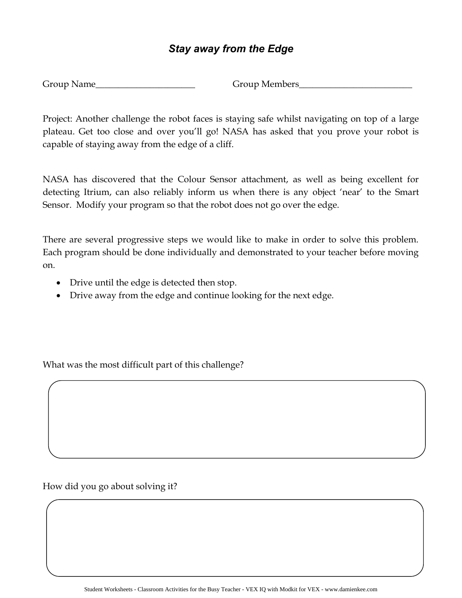#### *Stay away from the Edge*

Group Name Group Members

Project: Another challenge the robot faces is staying safe whilst navigating on top of a large plateau. Get too close and over you'll go! NASA has asked that you prove your robot is capable of staying away from the edge of a cliff.

NASA has discovered that the Colour Sensor attachment, as well as being excellent for detecting Itrium, can also reliably inform us when there is any object 'near' to the Smart Sensor. Modify your program so that the robot does not go over the edge.

There are several progressive steps we would like to make in order to solve this problem. Each program should be done individually and demonstrated to your teacher before moving on.

- Drive until the edge is detected then stop.
- Drive away from the edge and continue looking for the next edge.

What was the most difficult part of this challenge?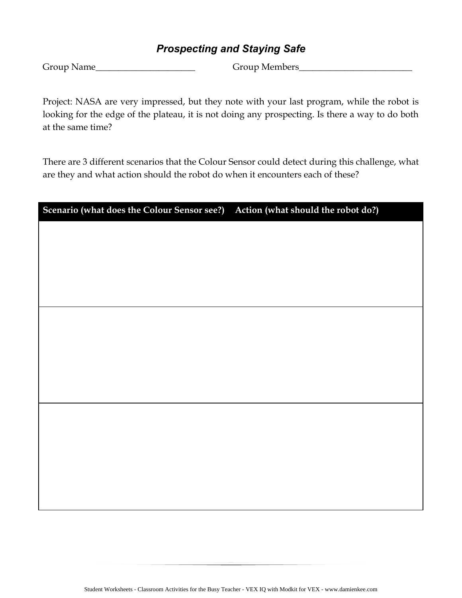#### *Prospecting and Staying Safe*

Group Name **Group Members** 

Project: NASA are very impressed, but they note with your last program, while the robot is looking for the edge of the plateau, it is not doing any prospecting. Is there a way to do both at the same time?

There are 3 different scenarios that the Colour Sensor could detect during this challenge, what are they and what action should the robot do when it encounters each of these?

| Scenario (what does the Colour Sensor see?) Action (what should the robot do?) |  |
|--------------------------------------------------------------------------------|--|
|                                                                                |  |
|                                                                                |  |
|                                                                                |  |
|                                                                                |  |
|                                                                                |  |
|                                                                                |  |
|                                                                                |  |
|                                                                                |  |
|                                                                                |  |
|                                                                                |  |
|                                                                                |  |
|                                                                                |  |
|                                                                                |  |
|                                                                                |  |
|                                                                                |  |
|                                                                                |  |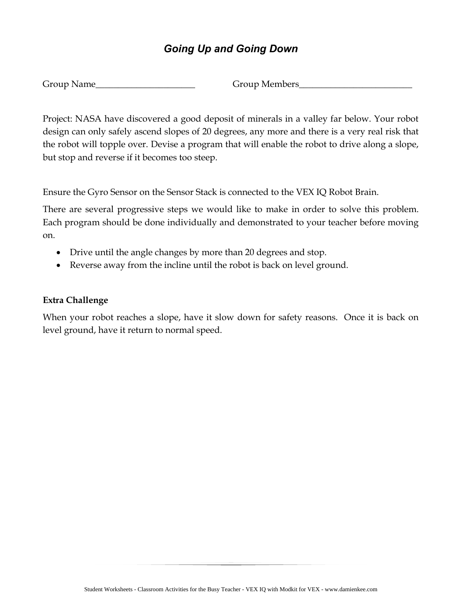# *Going Up and Going Down*

| Group Name |  |
|------------|--|
|------------|--|

Group Members\_

Project: NASA have discovered a good deposit of minerals in a valley far below. Your robot design can only safely ascend slopes of 20 degrees, any more and there is a very real risk that the robot will topple over. Devise a program that will enable the robot to drive along a slope, but stop and reverse if it becomes too steep.

Ensure the Gyro Sensor on the Sensor Stack is connected to the VEX IQ Robot Brain.

There are several progressive steps we would like to make in order to solve this problem. Each program should be done individually and demonstrated to your teacher before moving on.

- Drive until the angle changes by more than 20 degrees and stop.
- Reverse away from the incline until the robot is back on level ground.

#### **Extra Challenge**

When your robot reaches a slope, have it slow down for safety reasons. Once it is back on level ground, have it return to normal speed.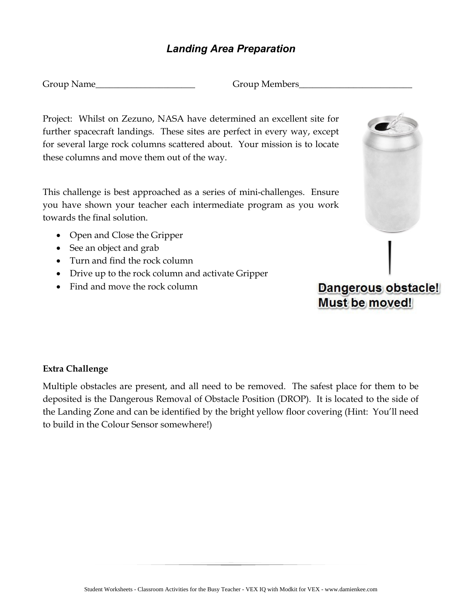#### *Landing Area Preparation*

Group Name\_\_\_\_\_\_\_\_\_\_\_\_\_\_\_\_\_\_\_\_\_\_\_\_\_\_\_\_\_\_\_\_\_Group Members\_

Project: Whilst on Zezuno, NASA have determined an excellent site for further spacecraft landings. These sites are perfect in every way, except for several large rock columns scattered about. Your mission is to locate these columns and move them out of the way.

This challenge is best approached as a series of mini-challenges. Ensure you have shown your teacher each intermediate program as you work towards the final solution.

- Open and Close the Gripper
- See an object and grab
- Turn and find the rock column
- Drive up to the rock column and activate Gripper
- Find and move the rock column



# Dangerous obstacle! Must be moved!

#### **Extra Challenge**

Multiple obstacles are present, and all need to be removed. The safest place for them to be deposited is the Dangerous Removal of Obstacle Position (DROP). It is located to the side of the Landing Zone and can be identified by the bright yellow floor covering (Hint: You'll need to build in the Colour Sensor somewhere!)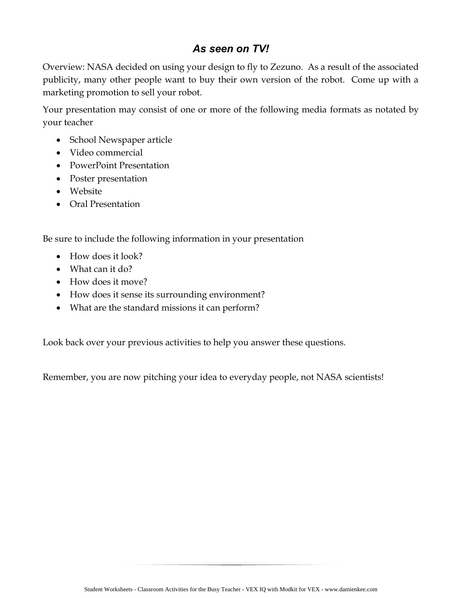## *As seen on TV!*

Overview: NASA decided on using your design to fly to Zezuno. As a result of the associated publicity, many other people want to buy their own version of the robot. Come up with a marketing promotion to sell your robot.

Your presentation may consist of one or more of the following media formats as notated by your teacher

- School Newspaper article
- Video commercial
- PowerPoint Presentation
- Poster presentation
- Website
- Oral Presentation

Be sure to include the following information in your presentation

- How does it look?
- What can it do?
- How does it move?
- How does it sense its surrounding environment?
- What are the standard missions it can perform?

Look back over your previous activities to help you answer these questions.

Remember, you are now pitching your idea to everyday people, not NASA scientists!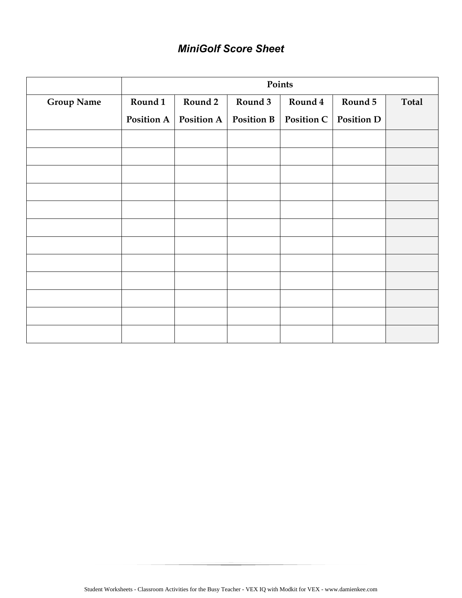# *MiniGolf Score Sheet*

|                   | Points     |            |                   |         |                         |              |
|-------------------|------------|------------|-------------------|---------|-------------------------|--------------|
| <b>Group Name</b> | Round 1    | Round 2    | Round 3           | Round 4 | Round 5                 | <b>Total</b> |
|                   | Position A | Position A | <b>Position B</b> |         | Position C   Position D |              |
|                   |            |            |                   |         |                         |              |
|                   |            |            |                   |         |                         |              |
|                   |            |            |                   |         |                         |              |
|                   |            |            |                   |         |                         |              |
|                   |            |            |                   |         |                         |              |
|                   |            |            |                   |         |                         |              |
|                   |            |            |                   |         |                         |              |
|                   |            |            |                   |         |                         |              |
|                   |            |            |                   |         |                         |              |
|                   |            |            |                   |         |                         |              |
|                   |            |            |                   |         |                         |              |
|                   |            |            |                   |         |                         |              |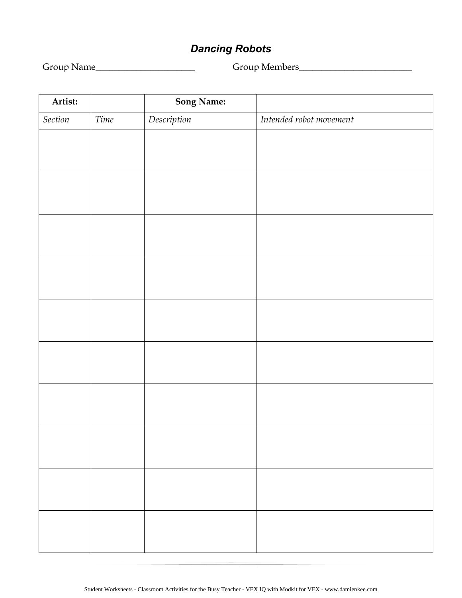# *Dancing Robots*

Group Name\_\_\_\_\_\_\_\_\_\_\_\_\_\_\_\_\_\_\_\_\_\_ Group Members\_\_\_\_\_\_\_\_\_\_\_\_\_\_\_\_\_\_\_\_\_\_\_\_\_

| Artist: |      | <b>Song Name:</b>                                     |                         |
|---------|------|-------------------------------------------------------|-------------------------|
| Section | Time | $\label{eq:description} \vspace{-0.05cm} Description$ | Intended robot movement |
|         |      |                                                       |                         |
|         |      |                                                       |                         |
|         |      |                                                       |                         |
|         |      |                                                       |                         |
|         |      |                                                       |                         |
|         |      |                                                       |                         |
|         |      |                                                       |                         |
|         |      |                                                       |                         |
|         |      |                                                       |                         |
|         |      |                                                       |                         |
|         |      |                                                       |                         |
|         |      |                                                       |                         |
|         |      |                                                       |                         |
|         |      |                                                       |                         |
|         |      |                                                       |                         |
|         |      |                                                       |                         |
|         |      |                                                       |                         |
|         |      |                                                       |                         |
|         |      |                                                       |                         |
|         |      |                                                       |                         |
|         |      |                                                       |                         |
|         |      |                                                       |                         |
|         |      |                                                       |                         |
|         |      |                                                       |                         |
|         |      |                                                       |                         |